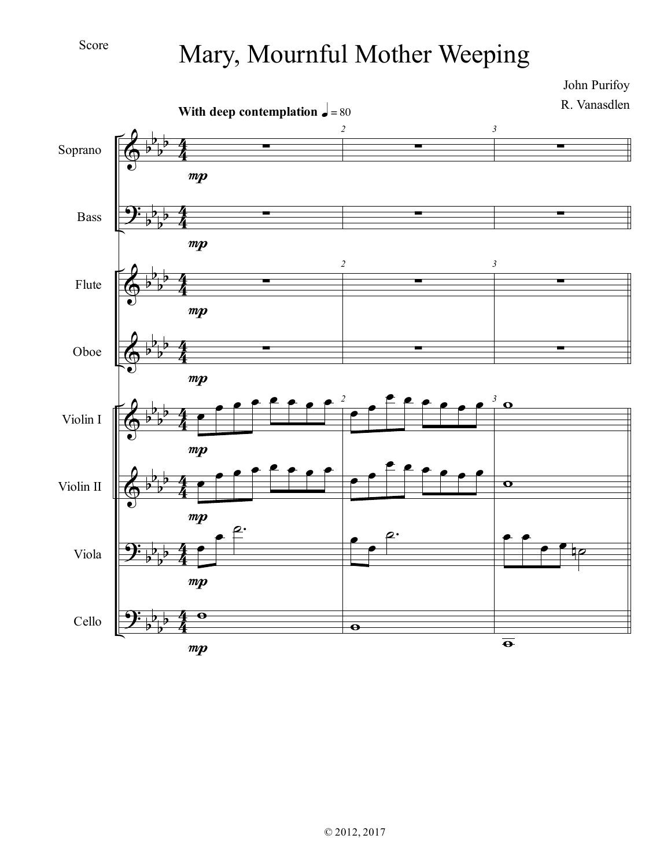## Mary, Mournful Mother Weeping

 $\Phi$  $\overline{9}$ :  $\Phi$  $\Phi$  $\Phi$  $\Phi$  $\overline{9}$ :  $\overline{9}$ :  $\overline{b}$  $\frac{1}{2}$  $\frac{1}{2}$ **b**  $\frac{1}{2}$  $\frac{1}{2}$  $\frac{1}{2}$ **b**  $\overline{b}$  $\frac{1}{2}$  $\frac{1}{2}$ **b**  $\overline{b}$  $\frac{1}{2}$  $\frac{1}{2}$ **b**  $\overline{b}$  $\frac{1}{2}$  $\frac{1}{2}$ **b**  $\overline{b}$  $\frac{1}{2}$  $\frac{1}{2}$ **b**  $\frac{1}{2}$  $\frac{1}{2}$  $\frac{1}{2}$ **b**  $\frac{1}{2}$  $\frac{1}{2}$  $\frac{1}{2}$ **b**  $\frac{4}{4}$  $\frac{4}{2}$  $\frac{4}{4}$  $\frac{4}{2}$  $\frac{4}{4}$  $\frac{4}{2}$  $\frac{4}{4}$  $\frac{4}{2}$  $\frac{4}{4}$  $\frac{4}{2}$  $\frac{4}{4}$  $\frac{4}{2}$  $\frac{4}{4}$  $\frac{4}{2}$  $\frac{4}{4}$  $\frac{4}{2}$ Soprano Bass Flute Oboe Violin I Violin II Viola Cello ∑ ∑ ∑ ∑ œ  $e e e e e e$ œ  $e e e e e e$ œ œ ˙− ϖ **With deep contemplation**  $\boldsymbol{\phi} = 80$  $mp$  $\boldsymbol{m}$  $mp$  $mp$  $mp$  $mp$  $mp$  $\boldsymbol{m}$ *2* ∑ ∑ *2* ∑ ∑ *2* œ œ <sup>œ</sup> <sup>œ</sup> <sup>œ</sup> <sup>œ</sup> <sup>œ</sup> <sup>œ</sup> œ œ <sup>œ</sup> <sup>œ</sup> <sup>œ</sup> <sup>œ</sup> <sup>œ</sup> <sup>œ</sup> œ œ ˙−  $\overline{\mathbf{o}}$ *3* ∑ ∑ *3* ∑ ∑ *3* ϖ ϖ  $\bullet$   $\bullet$  $\overline{\ }$ µ˙ ϖ John Purifoy R. Vanasdlen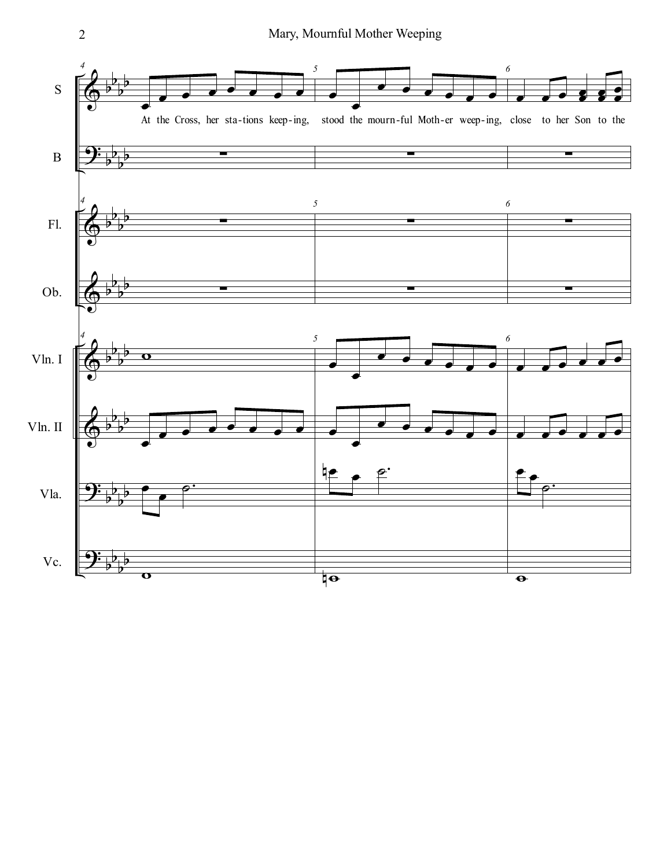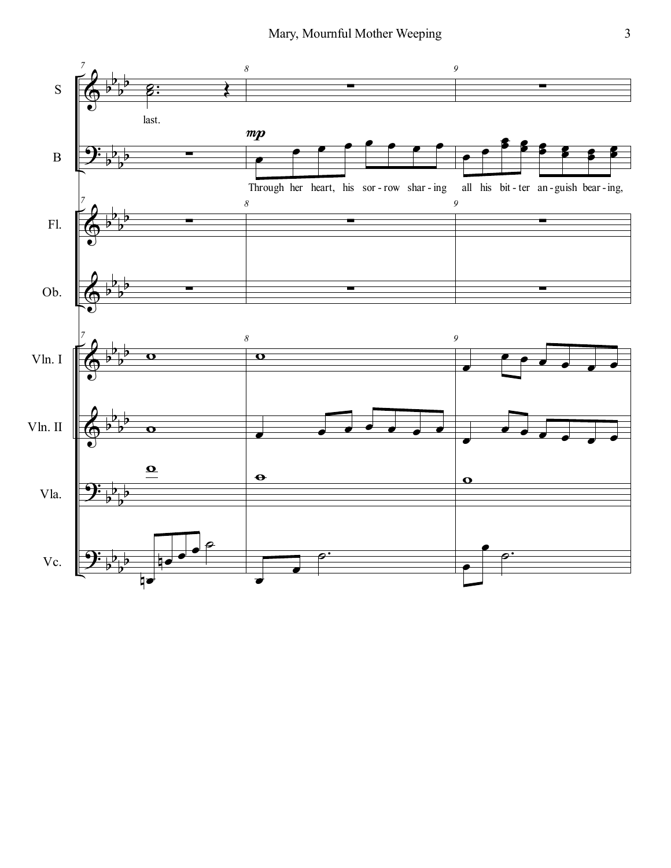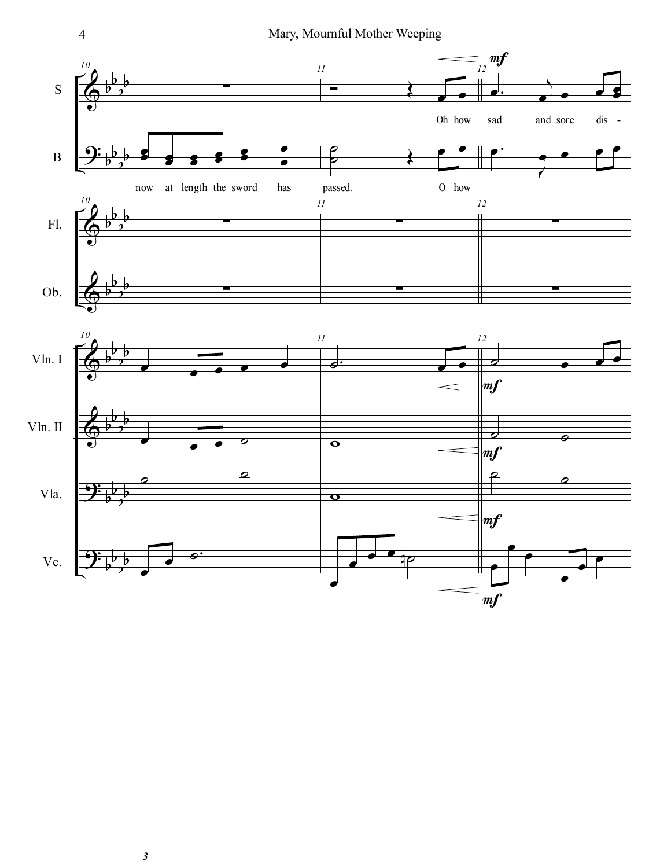

*3*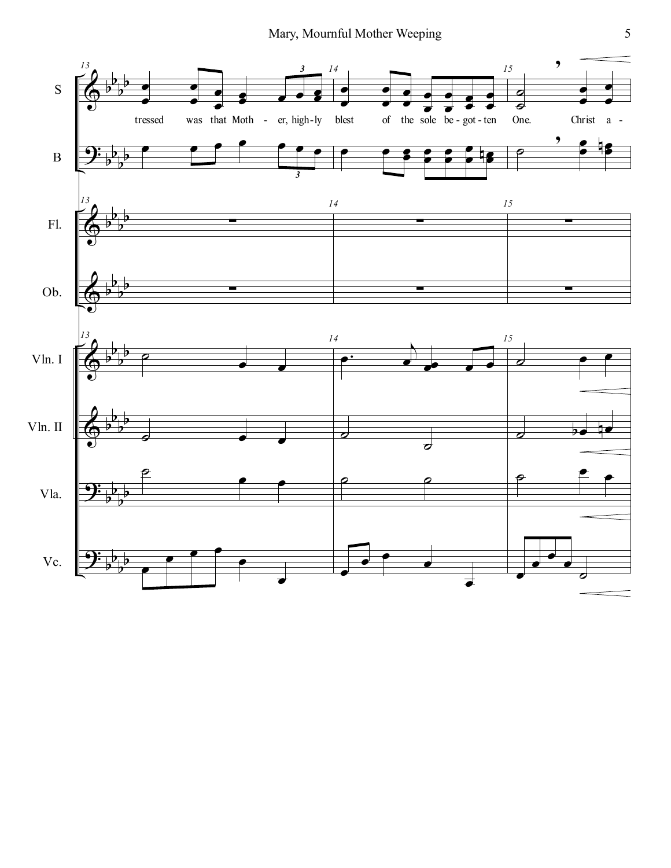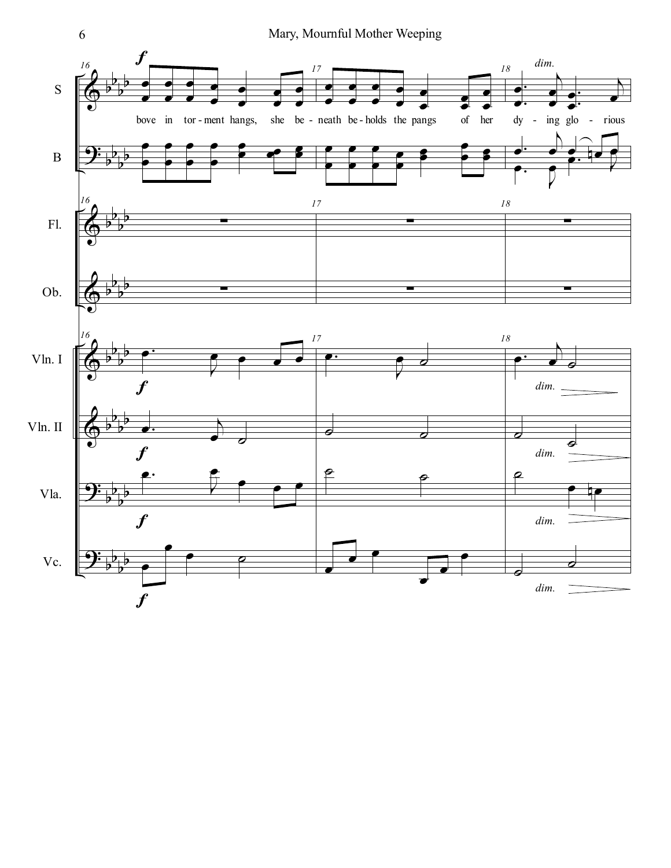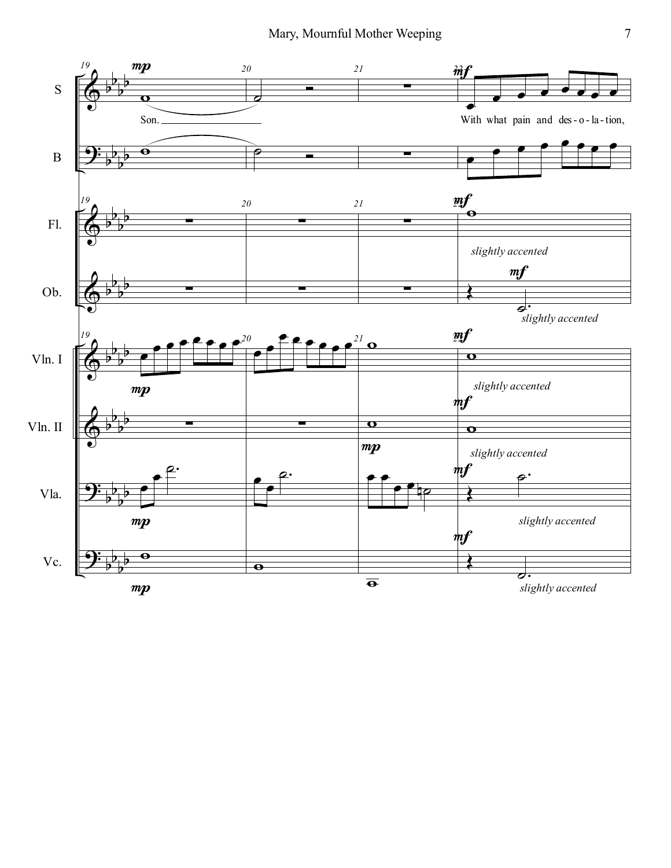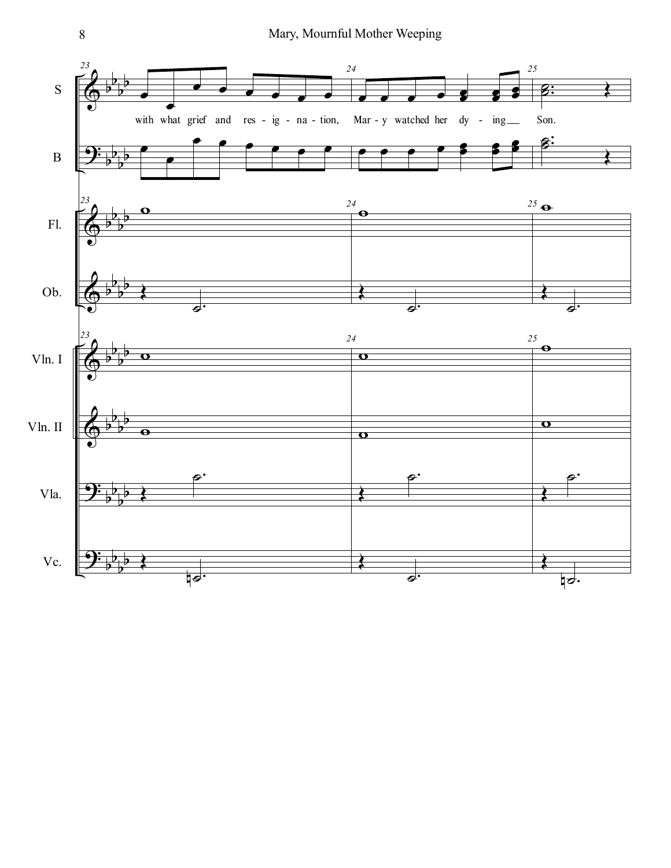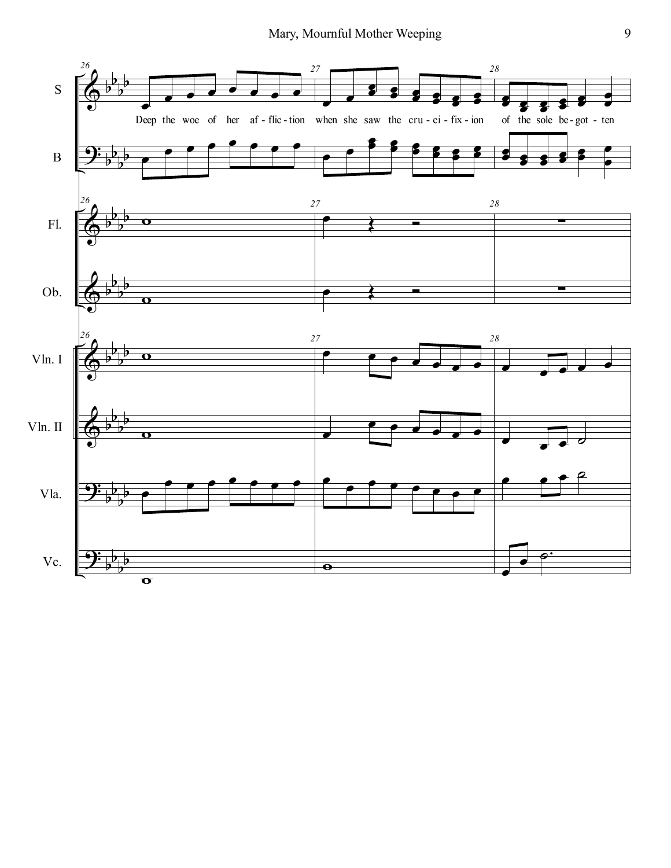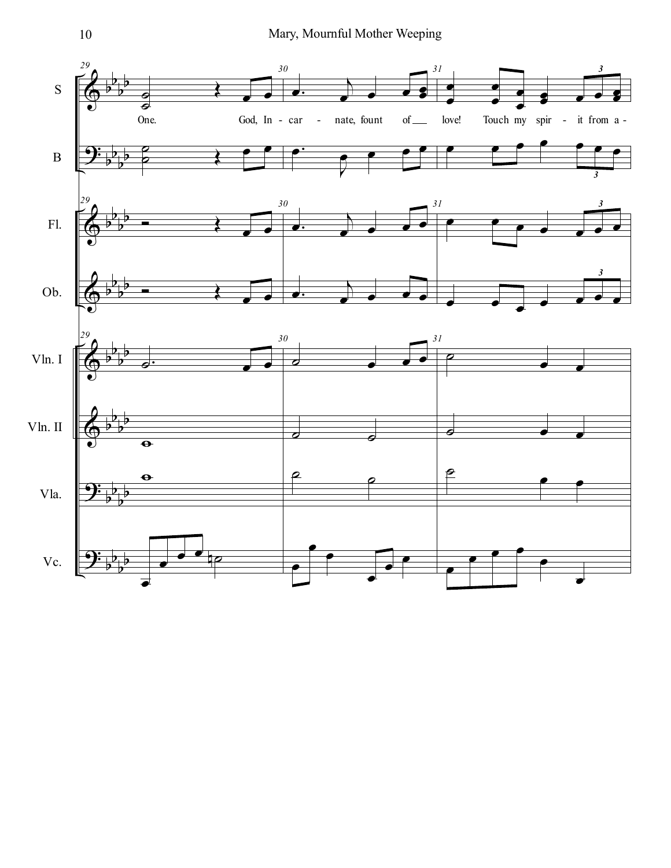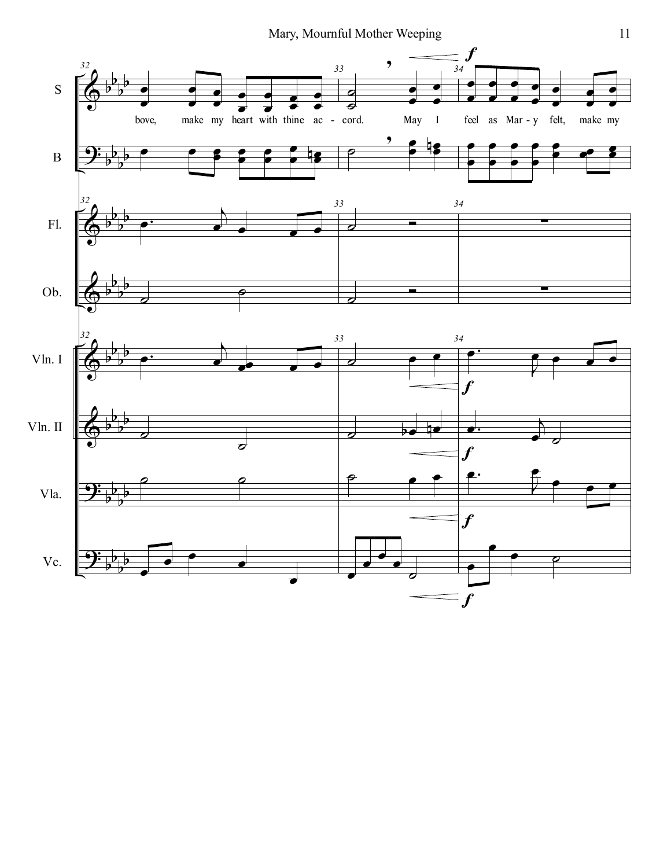Mary, Mournful Mother Weeping 11

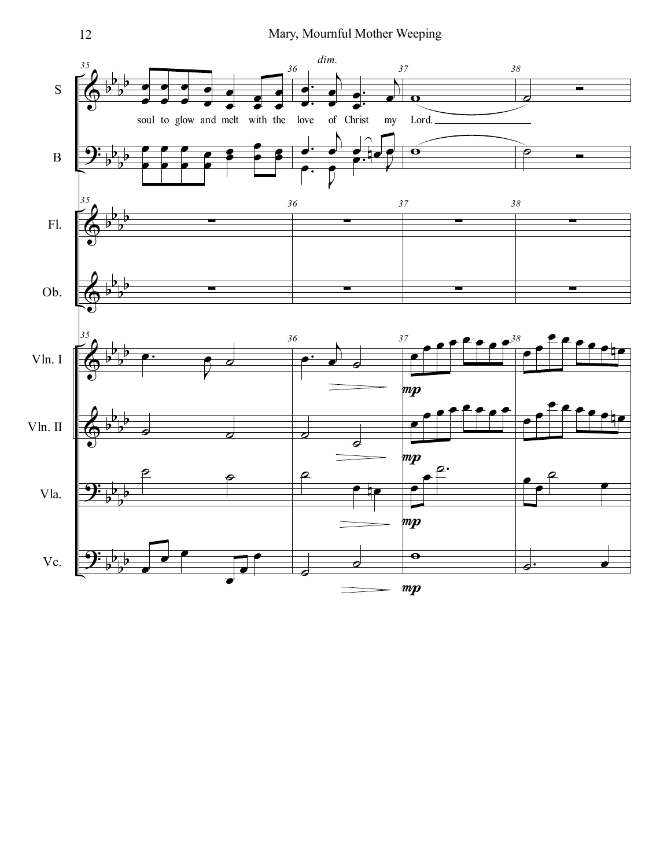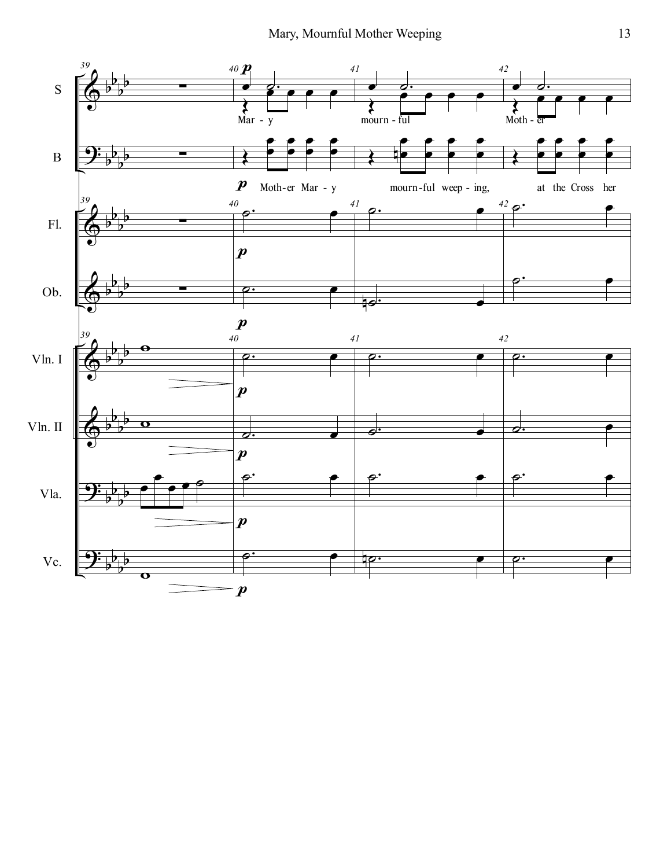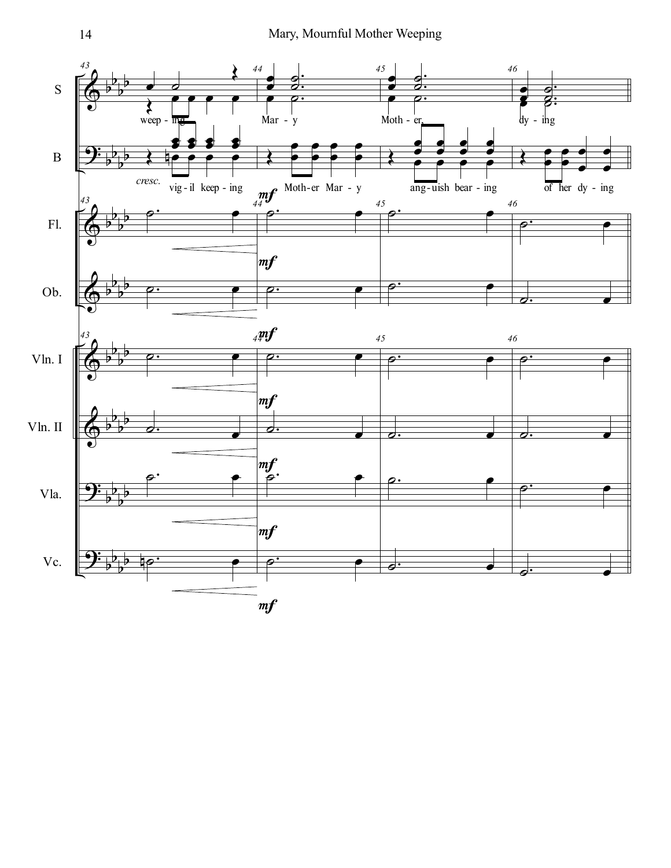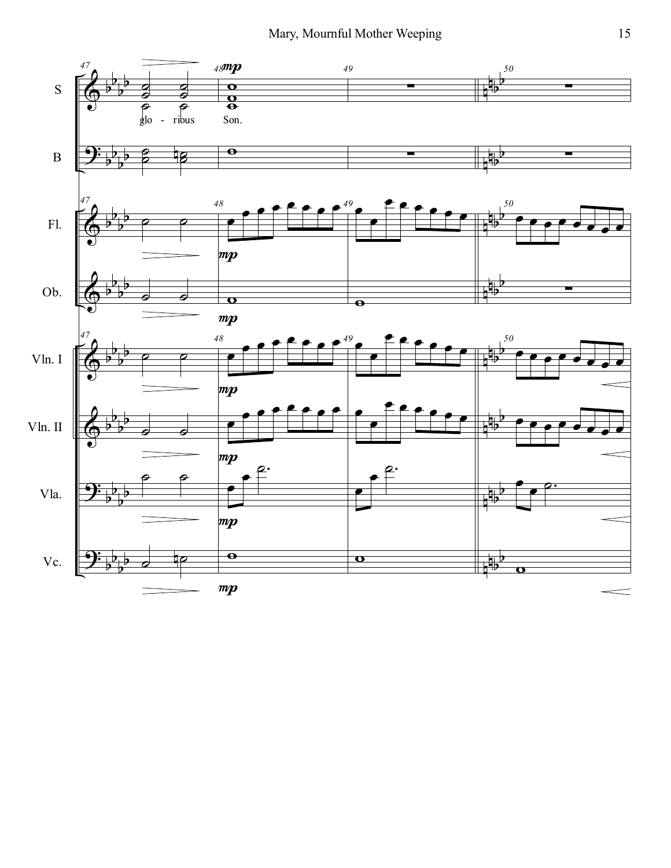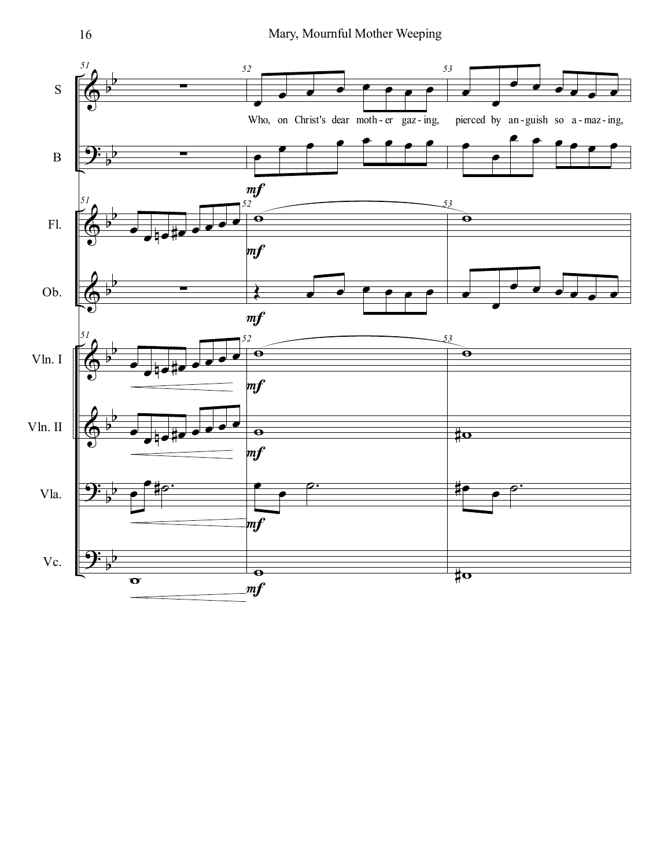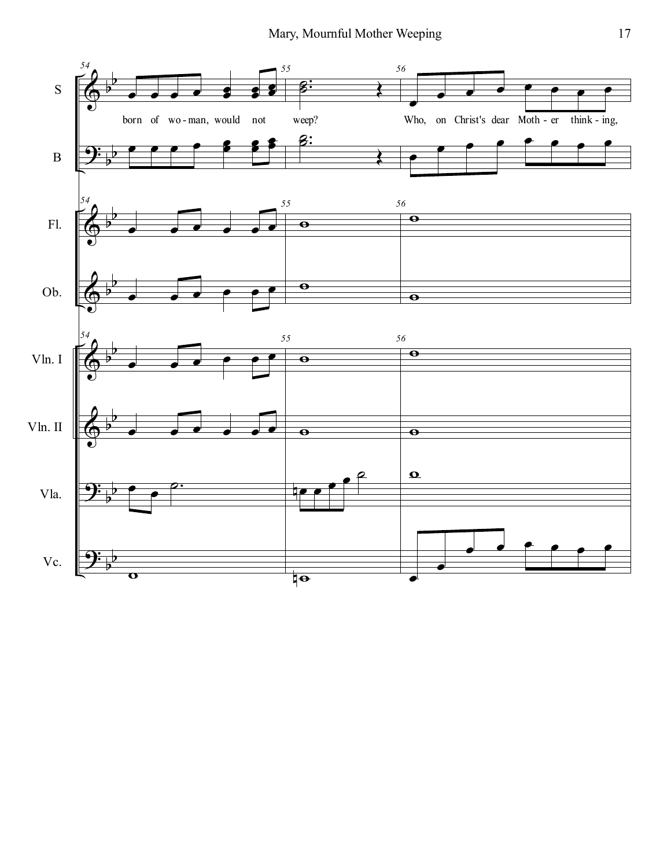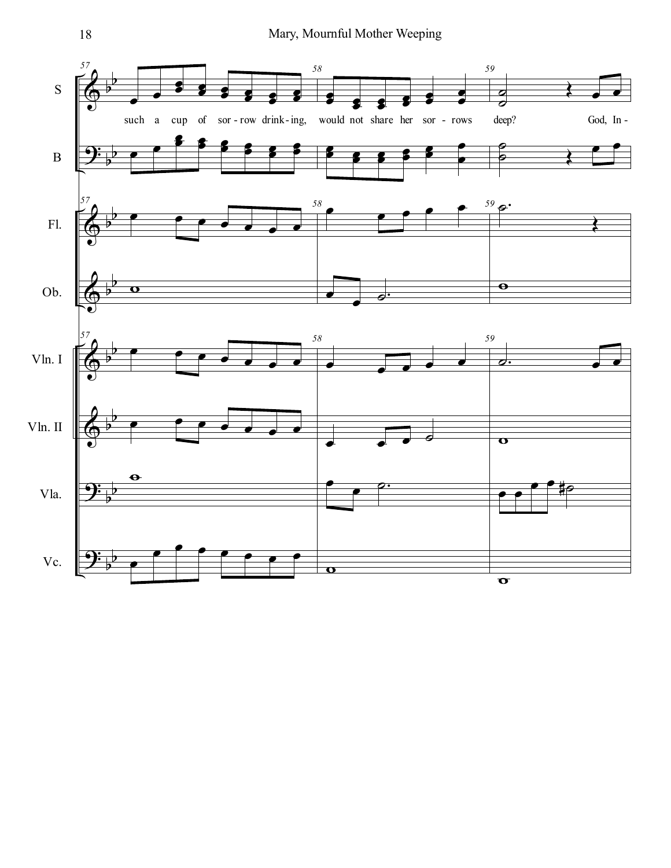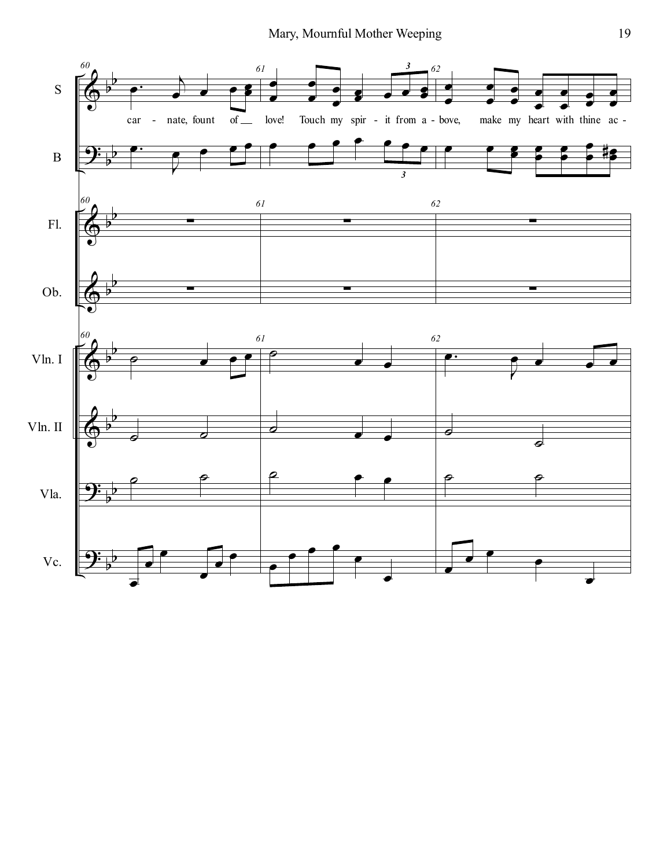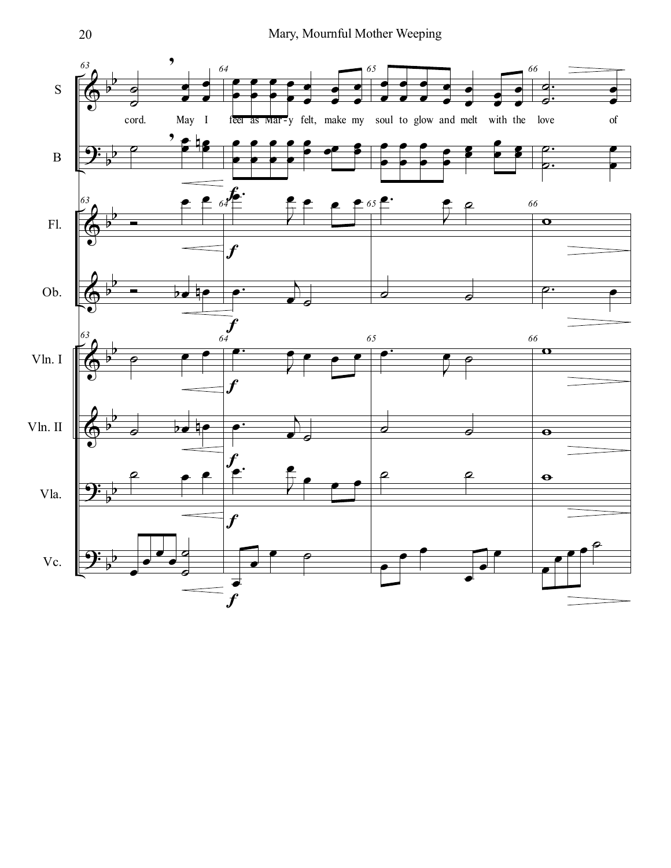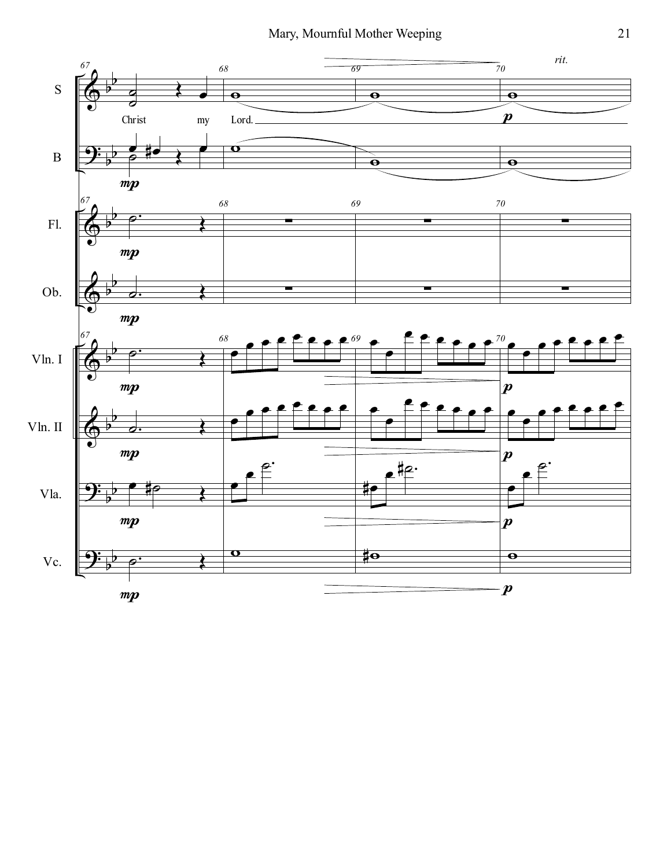